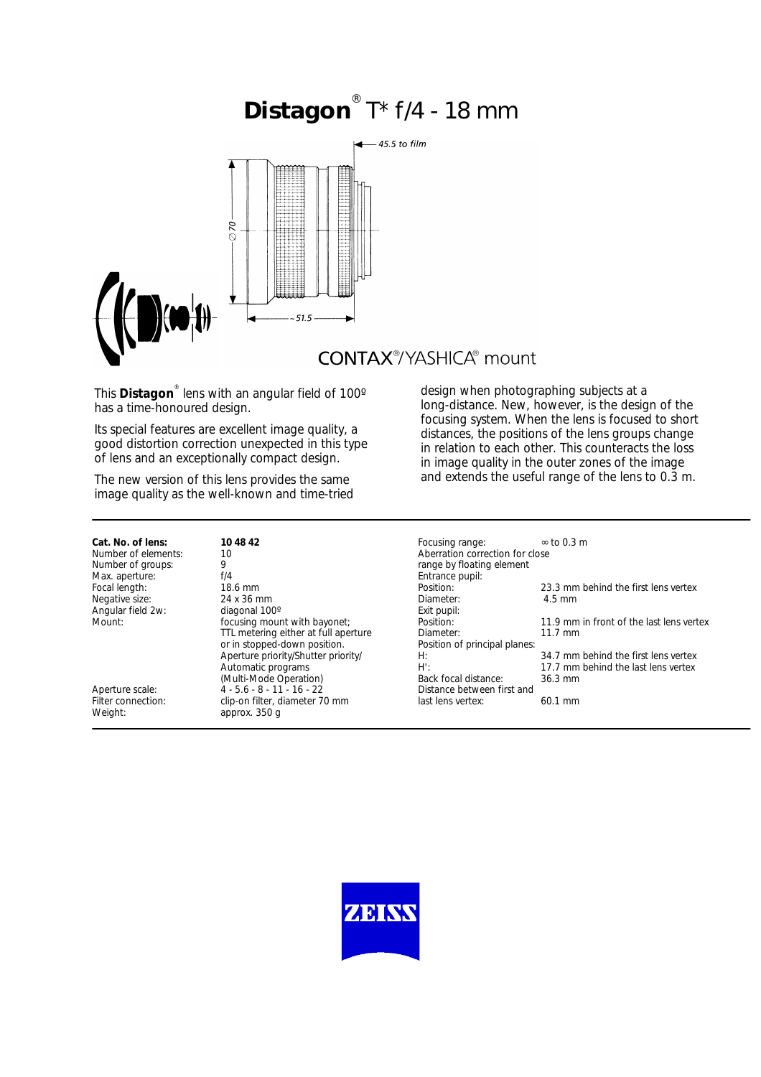# **Distagon** T<sup>\*</sup> f/4 - 18 mm



This **Distagon**® lens with an angular field of 100º has a time-honoured design.

Its special features are excellent image quality, a good distortion correction unexpected in this type of lens and an exceptionally compact design.

The new version of this lens provides the same image quality as the well-known and time-tried

### design when photographing subjects at a long-distance. New, however, is the design of the focusing system. When the lens is focused to short distances, the positions of the lens groups change in relation to each other. This counteracts the loss in image quality in the outer zones of the image and extends the useful range of the lens to 0.3 m.

| Cat. No. of lens:<br>Number of elements:<br>Number of groups: | 10 48 42<br>10<br>9                                                  | Focusing range:<br>Aberration correction for close<br>range by floating element | $\infty$ to 0.3 m                                                           |
|---------------------------------------------------------------|----------------------------------------------------------------------|---------------------------------------------------------------------------------|-----------------------------------------------------------------------------|
| Max. aperture:<br>Focal length:<br>Negative size:             | f/4<br>18.6 mm<br>24 x 36 mm                                         | Entrance pupil:<br>Position:<br>Diameter:                                       | 23.3 mm behind the first lens vertex<br>$4.5 \text{ mm}$                    |
| Angular field 2w:<br>Mount:                                   | diagonal 100°<br>focusing mount with bayonet;                        | Exit pupil:<br>Position:                                                        | 11.9 mm in front of the last lens vertex                                    |
|                                                               | TTL metering either at full aperture<br>or in stopped-down position. | Diameter:<br>Position of principal planes:                                      | $11.7 \text{ mm}$                                                           |
|                                                               | Aperture priority/Shutter priority/<br>Automatic programs            | H:<br>$H^{\prime}$ :                                                            | 34.7 mm behind the first lens vertex<br>17.7 mm behind the last lens vertex |
| Aperture scale:                                               | (Multi-Mode Operation)<br>$4 - 5.6 - 8 - 11 - 16 - 22$               | Back focal distance:<br>Distance between first and                              | $36.3 \text{ mm}$                                                           |
| Filter connection:<br>Weight:                                 | clip-on filter, diameter 70 mm<br>approx. 350 g                      | last lens vertex:                                                               | $60.1 \, \text{mm}$                                                         |